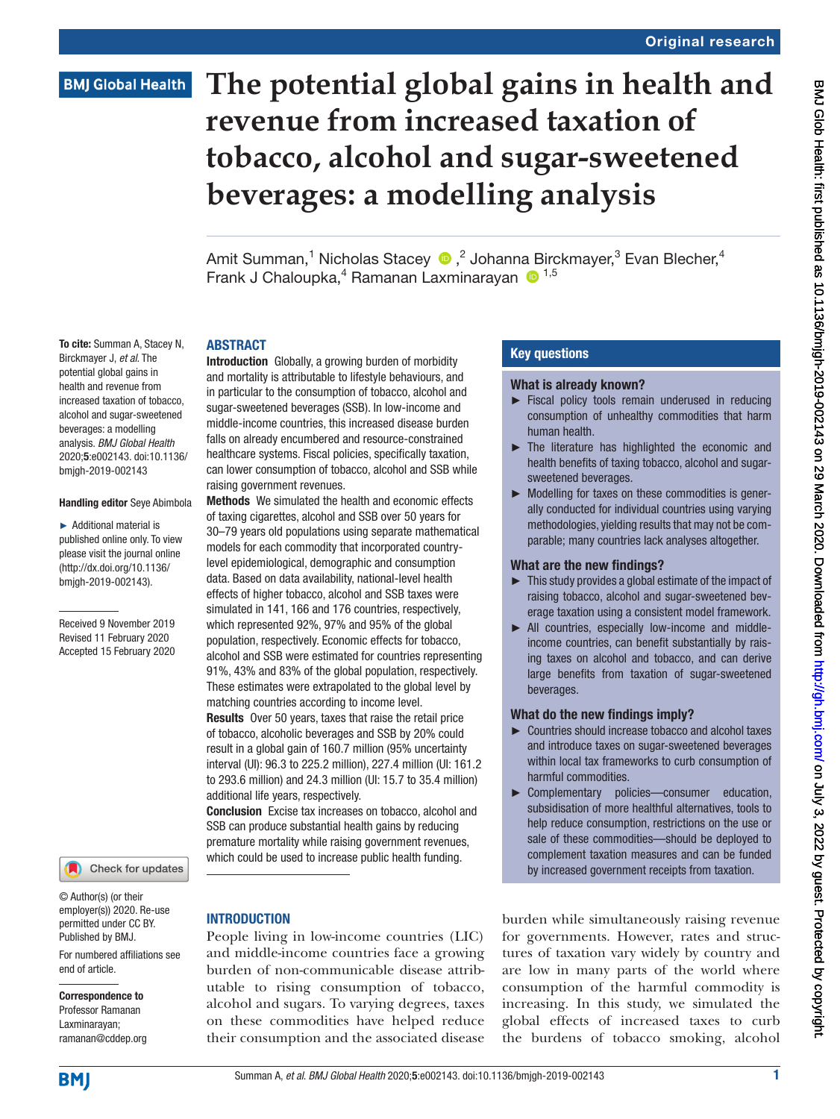# **BMJ Global Health**

To cite: Summan A, Stacey N, Birckmayer J, *et al*. The potential global gains in health and revenue from

beverages: a modelling

bmjgh-2019-002143

Handling editor Seye Abimbola ► Additional material is published online only. To view please visit the journal online (http://dx.doi.org/10.1136/ bmjgh-2019-002143).

Received 9 November 2019 Revised 11 February 2020 Accepted 15 February 2020

# **The potential global gains in health and revenue from increased taxation of tobacco, alcohol and sugar-sweetened beverages: a modelling analysis**

Amit Summan,<sup>1</sup> Nicholas Stacey ®,<sup>2</sup> Johanna Birckmayer,<sup>3</sup> Evan Blecher,<sup>4</sup> Frank J Chaloupka,<sup>4</sup> Ramanan Laxminarayan <sup>1,5</sup>

# **ARSTRACT**

increased taxation of tobacco, alcohol and sugar-sweetened analysis. *BMJ Global Health* 2020;5:e002143. doi:10.1136/ Introduction Globally, a growing burden of morbidity and mortality is attributable to lifestyle behaviours, and in particular to the consumption of tobacco, alcohol and sugar-sweetened beverages (SSB). In low-income and middle-income countries, this increased disease burden falls on already encumbered and resource-constrained healthcare systems. Fiscal policies, specifically taxation, can lower consumption of tobacco, alcohol and SSB while raising government revenues.

> Methods We simulated the health and economic effects of taxing cigarettes, alcohol and SSB over 50 years for 30–79 years old populations using separate mathematical models for each commodity that incorporated countrylevel epidemiological, demographic and consumption data. Based on data availability, national-level health effects of higher tobacco, alcohol and SSB taxes were simulated in 141, 166 and 176 countries, respectively, which represented 92%, 97% and 95% of the global population, respectively. Economic effects for tobacco, alcohol and SSB were estimated for countries representing 91%, 43% and 83% of the global population, respectively. These estimates were extrapolated to the global level by matching countries according to income level. Results Over 50 years, taxes that raise the retail price of tobacco, alcoholic beverages and SSB by 20% could result in a global gain of 160.7 million (95% uncertainty interval (UI): 96.3 to 225.2 million), 227.4 million (UI: 161.2 to 293.6 million) and 24.3 million (UI: 15.7 to 35.4 million) additional life years, respectively.

Conclusion Excise tax increases on tobacco, alcohol and SSB can produce substantial health gains by reducing premature mortality while raising government revenues, which could be used to increase public health funding.

# **INTRODUCTION**

People living in low-income countries (LIC) and middle-income countries face a growing burden of non-communicable disease attributable to rising consumption of tobacco, alcohol and sugars. To varying degrees, taxes on these commodities have helped reduce their consumption and the associated disease

#### Key questions

#### What is already known?

- ► Fiscal policy tools remain underused in reducing consumption of unhealthy commodities that harm human health.
- The literature has highlighted the economic and health benefits of taxing tobacco, alcohol and sugarsweetened beverages.
- ► Modelling for taxes on these commodities is generally conducted for individual countries using varying methodologies, yielding results that may not be comparable; many countries lack analyses altogether.

#### What are the new findings?

- ► This study provides a global estimate of the impact of raising tobacco, alcohol and sugar-sweetened beverage taxation using a consistent model framework.
- ► All countries, especially low-income and middleincome countries, can benefit substantially by raising taxes on alcohol and tobacco, and can derive large benefits from taxation of sugar-sweetened beverages.

#### What do the new findings imply?

- ► Countries should increase tobacco and alcohol taxes and introduce taxes on sugar-sweetened beverages within local tax frameworks to curb consumption of harmful commodities.
- ► Complementary policies—consumer education, subsidisation of more healthful alternatives, tools to help reduce consumption, restrictions on the use or sale of these commodities—should be deployed to complement taxation measures and can be funded by increased government receipts from taxation.

burden while simultaneously raising revenue for governments. However, rates and structures of taxation vary widely by country and are low in many parts of the world where consumption of the harmful commodity is increasing. In this study, we simulated the global effects of increased taxes to curb the burdens of tobacco smoking, alcohol

#### © Author(s) (or their employer(s)) 2020. Re-use

Check for updates

For numbered affiliations see permitted under CC BY. Published by BMJ.

end of article.

# Correspondence to

Professor Ramanan Laxminarayan; ramanan@cddep.org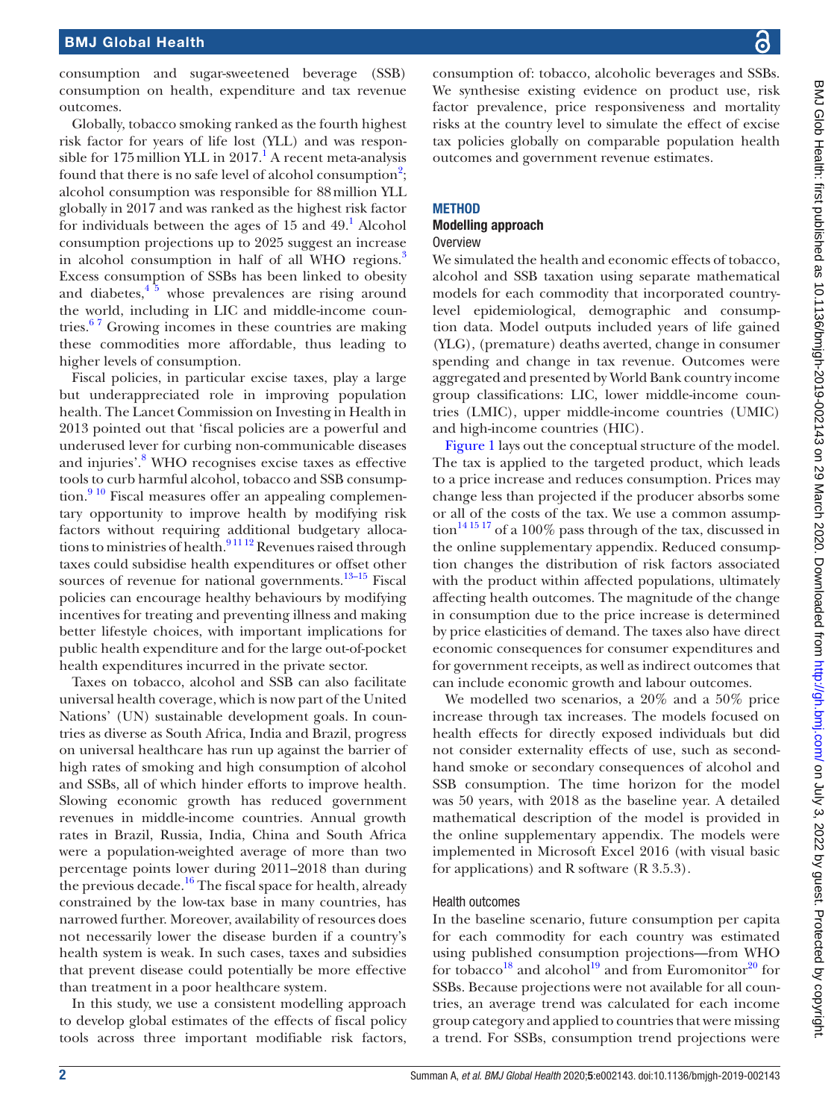consumption and sugar-sweetened beverage (SSB) consumption on health, expenditure and tax revenue outcomes.

Globally, tobacco smoking ranked as the fourth highest risk factor for years of life lost (YLL) and was respon-sible for [1](#page-10-0)75 million YLL in 2017.<sup>1</sup> A recent meta-analysis found that there is no safe level of alcohol consumption<sup>[2](#page-10-1)</sup>; alcohol consumption was responsible for 88million YLL globally in 2017 and was ranked as the highest risk factor for individuals between the ages of  $15$  $15$  and  $49<sup>1</sup>$  Alcohol consumption projections up to 2025 suggest an increase in alcohol consumption in half of all WHO regions.<sup>[3](#page-10-2)</sup> Excess consumption of SSBs has been linked to obesity and diabetes, $4\frac{5}{9}$  whose prevalences are rising around the world, including in LIC and middle-income countries.<sup>67</sup> Growing incomes in these countries are making these commodities more affordable, thus leading to higher levels of consumption.

Fiscal policies, in particular excise taxes, play a large but underappreciated role in improving population health. The Lancet Commission on Investing in Health in 2013 pointed out that 'fiscal policies are a powerful and underused lever for curbing non-communicable diseases and injuries'.<sup>8</sup> WHO recognises excise taxes as effective tools to curb harmful alcohol, tobacco and SSB consumption.<sup>9 10</sup> Fiscal measures offer an appealing complementary opportunity to improve health by modifying risk factors without requiring additional budgetary allocations to ministries of health.<sup>91112</sup> Revenues raised through taxes could subsidise health expenditures or offset other sources of revenue for national governments. $13-15$  Fiscal policies can encourage healthy behaviours by modifying incentives for treating and preventing illness and making better lifestyle choices, with important implications for public health expenditure and for the large out-of-pocket health expenditures incurred in the private sector.

Taxes on tobacco, alcohol and SSB can also facilitate universal health coverage, which is now part of the United Nations' (UN) sustainable development goals. In countries as diverse as South Africa, India and Brazil, progress on universal healthcare has run up against the barrier of high rates of smoking and high consumption of alcohol and SSBs, all of which hinder efforts to improve health. Slowing economic growth has reduced government revenues in middle-income countries. Annual growth rates in Brazil, Russia, India, China and South Africa were a population-weighted average of more than two percentage points lower during 2011–2018 than during the previous decade.<sup>16</sup> The fiscal space for health, already constrained by the low-tax base in many countries, has narrowed further. Moreover, availability of resources does not necessarily lower the disease burden if a country's health system is weak. In such cases, taxes and subsidies that prevent disease could potentially be more effective than treatment in a poor healthcare system.

In this study, we use a consistent modelling approach to develop global estimates of the effects of fiscal policy tools across three important modifiable risk factors,

consumption of: tobacco, alcoholic beverages and SSBs. We synthesise existing evidence on product use, risk factor prevalence, price responsiveness and mortality risks at the country level to simulate the effect of excise tax policies globally on comparable population health outcomes and government revenue estimates.

# **METHOD**

#### Modelling approach **Overview**

We simulated the health and economic effects of tobacco, alcohol and SSB taxation using separate mathematical models for each commodity that incorporated countrylevel epidemiological, demographic and consumption data. Model outputs included years of life gained (YLG), (premature) deaths averted, change in consumer spending and change in tax revenue. Outcomes were aggregated and presented by World Bank country income group classifications: LIC, lower middle-income countries (LMIC), upper middle-income countries (UMIC) and high-income countries (HIC).

[Figure](#page-2-0) 1 lays out the conceptual structure of the model. The tax is applied to the targeted product, which leads to a price increase and reduces consumption. Prices may change less than projected if the producer absorbs some or all of the costs of the tax. We use a common assump- $\frac{141517}{206}$  of a 100% pass through of the tax, discussed in the [online supplementary appendix.](https://dx.doi.org/10.1136/bmjgh-2019-002143) Reduced consumption changes the distribution of risk factors associated with the product within affected populations, ultimately affecting health outcomes. The magnitude of the change in consumption due to the price increase is determined by price elasticities of demand. The taxes also have direct economic consequences for consumer expenditures and for government receipts, as well as indirect outcomes that can include economic growth and labour outcomes.

We modelled two scenarios, a 20% and a 50% price increase through tax increases. The models focused on health effects for directly exposed individuals but did not consider externality effects of use, such as secondhand smoke or secondary consequences of alcohol and SSB consumption. The time horizon for the model was 50 years, with 2018 as the baseline year. A detailed mathematical description of the model is provided in the [online supplementary appendix](https://dx.doi.org/10.1136/bmjgh-2019-002143). The models were implemented in Microsoft Excel 2016 (with visual basic for applications) and R software (R 3.5.3).

# Health outcomes

In the baseline scenario, future consumption per capita for each commodity for each country was estimated using published consumption projections—from WHO for tobacco<sup>18</sup> and alcohol<sup>19</sup> and from Euromonitor<sup>20</sup> for SSBs. Because projections were not available for all countries, an average trend was calculated for each income group category and applied to countries that were missing a trend. For SSBs, consumption trend projections were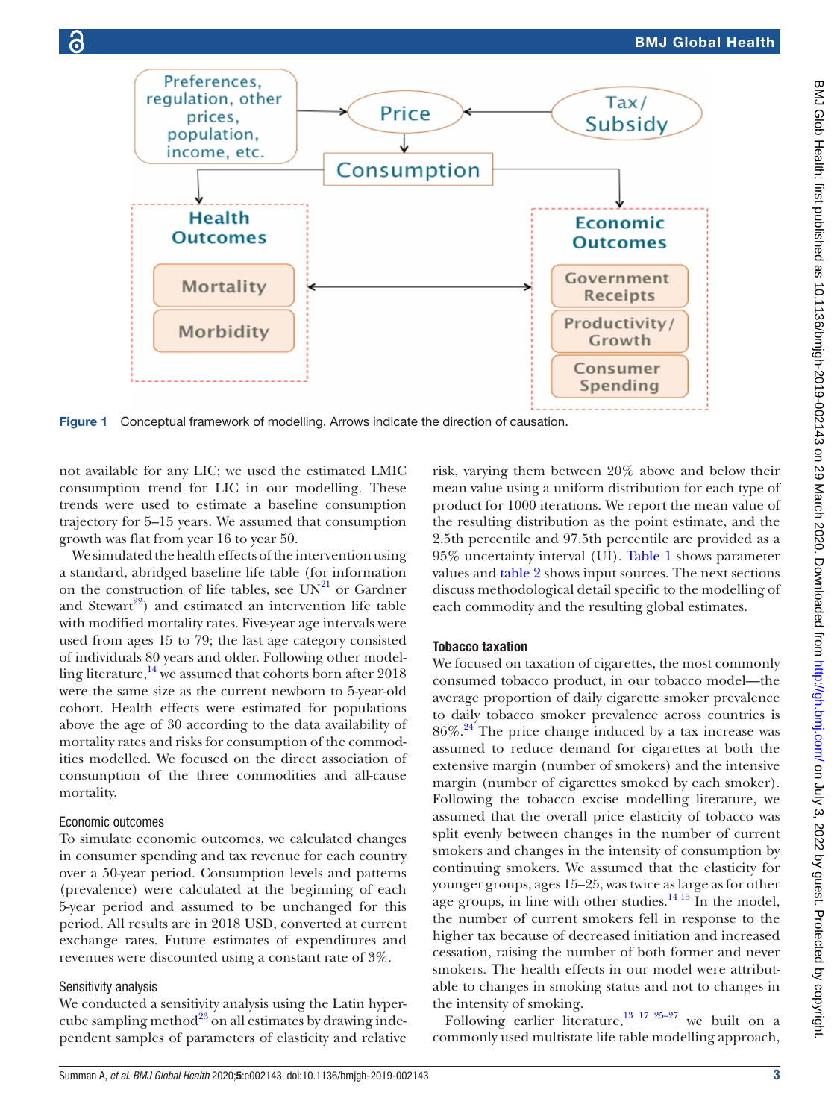

<span id="page-2-0"></span>Figure 1 Conceptual framework of modelling. Arrows indicate the direction of causation.

not available for any LIC; we used the estimated LMIC consumption trend for LIC in our modelling. These trends were used to estimate a baseline consumption trajectory for 5–15 years. We assumed that consumption growth was flat from year 16 to year 50.

We simulated the health effects of the intervention using a standard, abridged baseline life table (for information on the construction of life tables, see  $UN^{21}$  $UN^{21}$  $UN^{21}$  or Gardner and Stewart<sup>22</sup>) and estimated an intervention life table with modified mortality rates. Five-year age intervals were used from ages 15 to 79; the last age category consisted of individuals 80 years and older. Following other modelling literature, $\frac{14}{14}$  $\frac{14}{14}$  $\frac{14}{14}$  we assumed that cohorts born after 2018 were the same size as the current newborn to 5-year-old cohort. Health effects were estimated for populations above the age of 30 according to the data availability of mortality rates and risks for consumption of the commodities modelled. We focused on the direct association of consumption of the three commodities and all-cause mortality.

# Economic outcomes

To simulate economic outcomes, we calculated changes in consumer spending and tax revenue for each country over a 50-year period. Consumption levels and patterns (prevalence) were calculated at the beginning of each 5-year period and assumed to be unchanged for this period. All results are in 2018 USD, converted at current exchange rates. Future estimates of expenditures and revenues were discounted using a constant rate of 3%.

#### Sensitivity analysis

We conducted a sensitivity analysis using the Latin hypercube sampling method $^{23}$  on all estimates by drawing independent samples of parameters of elasticity and relative

risk, varying them between 20% above and below their mean value using a uniform distribution for each type of product for 1000 iterations. We report the mean value of the resulting distribution as the point estimate, and the 2.5th percentile and 97.5th percentile are provided as a 95% uncertainty interval (UI). [Table](#page-3-0) 1 shows parameter values and [table](#page-4-0) 2 shows input sources. The next sections discuss methodological detail specific to the modelling of each commodity and the resulting global estimates.

#### Tobacco taxation

We focused on taxation of cigarettes, the most commonly consumed tobacco product, in our tobacco model—the average proportion of daily cigarette smoker prevalence to daily tobacco smoker prevalence across countries is  $86\%$ .<sup>24</sup> The price change induced by a tax increase was assumed to reduce demand for cigarettes at both the extensive margin (number of smokers) and the intensive margin (number of cigarettes smoked by each smoker). Following the tobacco excise modelling literature, we assumed that the overall price elasticity of tobacco was split evenly between changes in the number of current smokers and changes in the intensity of consumption by continuing smokers. We assumed that the elasticity for younger groups, ages 15–25, was twice as large as for other age groups, in line with other studies.<sup>14 15</sup> In the model, the number of current smokers fell in response to the higher tax because of decreased initiation and increased cessation, raising the number of both former and never smokers. The health effects in our model were attributable to changes in smoking status and not to changes in the intensity of smoking.

Following earlier literature,<sup>13 17 25-27</sup> we built on a commonly used multistate life table modelling approach,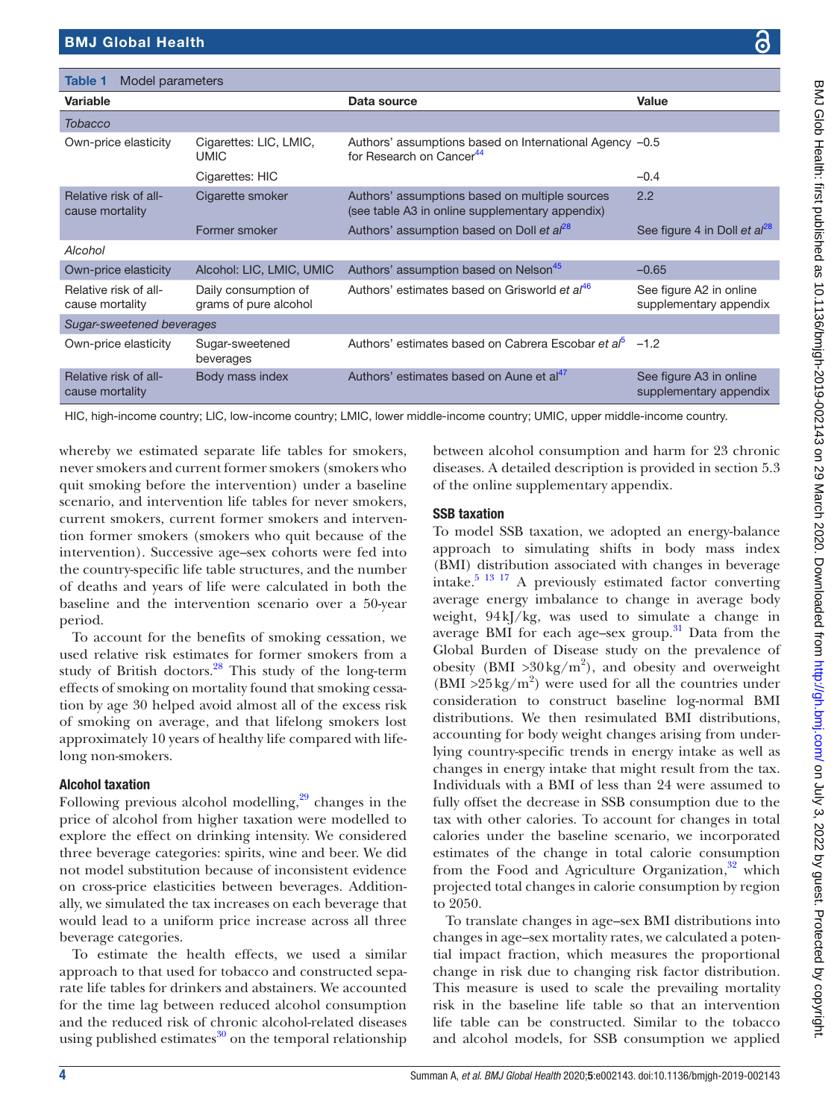<span id="page-3-0"></span>Table 1 Model parameter

|   | ļ                                                                          |
|---|----------------------------------------------------------------------------|
|   |                                                                            |
|   |                                                                            |
|   |                                                                            |
|   |                                                                            |
|   |                                                                            |
|   | ! i i c i c i c i c i c<br> <br> <br> <br> <br> <br>                       |
|   |                                                                            |
|   |                                                                            |
|   | Ì.                                                                         |
|   | $\frac{1}{2}$                                                              |
|   |                                                                            |
|   |                                                                            |
|   |                                                                            |
|   |                                                                            |
|   | אווסוומי החיירו כים מסווכוומות                                             |
|   |                                                                            |
|   |                                                                            |
|   |                                                                            |
|   |                                                                            |
|   |                                                                            |
|   |                                                                            |
|   |                                                                            |
|   |                                                                            |
|   |                                                                            |
|   |                                                                            |
|   |                                                                            |
|   |                                                                            |
| i |                                                                            |
|   |                                                                            |
|   |                                                                            |
|   |                                                                            |
|   |                                                                            |
|   |                                                                            |
|   |                                                                            |
|   |                                                                            |
|   | induct collinus during the                                                 |
|   |                                                                            |
|   |                                                                            |
|   |                                                                            |
|   |                                                                            |
|   |                                                                            |
|   |                                                                            |
|   |                                                                            |
|   |                                                                            |
|   |                                                                            |
|   |                                                                            |
|   |                                                                            |
|   |                                                                            |
|   |                                                                            |
|   |                                                                            |
|   |                                                                            |
|   |                                                                            |
|   |                                                                            |
|   |                                                                            |
|   |                                                                            |
|   |                                                                            |
|   |                                                                            |
|   |                                                                            |
|   |                                                                            |
|   |                                                                            |
|   |                                                                            |
|   |                                                                            |
|   |                                                                            |
|   |                                                                            |
|   | d as 10.1136/bmidh-2019-002143 on 29 March 2020. Downloaded from http://dr |
|   |                                                                            |
|   |                                                                            |
|   |                                                                            |
|   |                                                                            |
|   |                                                                            |
|   |                                                                            |
|   |                                                                            |
|   |                                                                            |
|   |                                                                            |
|   |                                                                            |
|   |                                                                            |
|   |                                                                            |
|   |                                                                            |
|   |                                                                            |
|   | ו<br>ו<br>י<br>נ                                                           |
|   |                                                                            |
|   |                                                                            |
|   |                                                                            |
|   |                                                                            |
|   |                                                                            |
|   |                                                                            |
|   |                                                                            |
|   |                                                                            |
|   |                                                                            |
|   |                                                                            |
|   |                                                                            |
|   |                                                                            |
|   |                                                                            |
|   |                                                                            |
|   |                                                                            |
|   |                                                                            |
|   |                                                                            |
|   |                                                                            |
|   |                                                                            |

| Variable                                 |                                               | Data source                                                                                                                                                                                                                                                                                                                                                                                                                               | Value                                             |
|------------------------------------------|-----------------------------------------------|-------------------------------------------------------------------------------------------------------------------------------------------------------------------------------------------------------------------------------------------------------------------------------------------------------------------------------------------------------------------------------------------------------------------------------------------|---------------------------------------------------|
| <b>Tobacco</b>                           |                                               |                                                                                                                                                                                                                                                                                                                                                                                                                                           |                                                   |
| Own-price elasticity                     | Cigarettes: LIC, LMIC,<br><b>UMIC</b>         | Authors' assumptions based on International Agency -0.5<br>for Research on Cancer <sup>44</sup>                                                                                                                                                                                                                                                                                                                                           |                                                   |
|                                          | Cigarettes: HIC                               |                                                                                                                                                                                                                                                                                                                                                                                                                                           | $-0.4$                                            |
| Relative risk of all-<br>cause mortality | Cigarette smoker                              | Authors' assumptions based on multiple sources<br>(see table A3 in online supplementary appendix)                                                                                                                                                                                                                                                                                                                                         | 2.2                                               |
|                                          | Former smoker                                 | Authors' assumption based on Doll et al <sup>28</sup>                                                                                                                                                                                                                                                                                                                                                                                     | See figure 4 in Doll et al <sup>28</sup>          |
| Alcohol                                  |                                               |                                                                                                                                                                                                                                                                                                                                                                                                                                           |                                                   |
| Own-price elasticity                     | Alcohol: LIC, LMIC, UMIC                      | Authors' assumption based on Nelson <sup>45</sup>                                                                                                                                                                                                                                                                                                                                                                                         | $-0.65$                                           |
| Relative risk of all-<br>cause mortality | Daily consumption of<br>grams of pure alcohol | Authors' estimates based on Grisworld et al <sup>46</sup>                                                                                                                                                                                                                                                                                                                                                                                 | See figure A2 in online<br>supplementary appendix |
| Sugar-sweetened beverages                |                                               |                                                                                                                                                                                                                                                                                                                                                                                                                                           |                                                   |
| Own-price elasticity                     | Sugar-sweetened<br>beverages                  | Authors' estimates based on Cabrera Escobar et al <sup>5</sup> -1.2                                                                                                                                                                                                                                                                                                                                                                       |                                                   |
| Relative risk of all-<br>cause mortality | Body mass index                               | Authors' estimates based on Aune et al <sup>47</sup>                                                                                                                                                                                                                                                                                                                                                                                      | See figure A3 in online<br>supplementary appendix |
|                                          |                                               | $\mathbf{1} \cup \mathbf{1} \cup \mathbf{1} \cup \mathbf{1}$ and $\mathbf{1} \cup \mathbf{1} \cup \mathbf{1} \cup \mathbf{1}$ and $\mathbf{1} \cup \mathbf{1} \cup \mathbf{1} \cup \mathbf{1} \cup \mathbf{1} \cup \mathbf{1} \cup \mathbf{1} \cup \mathbf{1} \cup \mathbf{1} \cup \mathbf{1} \cup \mathbf{1} \cup \mathbf{1} \cup \mathbf{1} \cup \mathbf{1} \cup \mathbf{1} \cup \mathbf{1} \cup \mathbf{1} \cup \mathbf{1} \cup \math$ |                                                   |

HIC, high-income country; LIC, low-income country; LMIC, lower middle-income country; UMIC, upper middle-income country.

whereby we estimated separate life tables for smokers, never smokers and current former smokers (smokers who quit smoking before the intervention) under a baseline scenario, and intervention life tables for never smokers, current smokers, current former smokers and intervention former smokers (smokers who quit because of the intervention). Successive age–sex cohorts were fed into the country-specific life table structures, and the number of deaths and years of life were calculated in both the baseline and the intervention scenario over a 50-year period.

To account for the benefits of smoking cessation, we used relative risk estimates for former smokers from a study of British doctors. $28$  This study of the long-term effects of smoking on mortality found that smoking cessation by age 30 helped avoid almost all of the excess risk of smoking on average, and that lifelong smokers lost approximately 10 years of healthy life compared with lifelong non-smokers.

# Alcohol taxation

Following previous alcohol modelling, $29$  changes in the price of alcohol from higher taxation were modelled to explore the effect on drinking intensity. We considered three beverage categories: spirits, wine and beer. We did not model substitution because of inconsistent evidence on cross-price elasticities between beverages. Additionally, we simulated the tax increases on each beverage that would lead to a uniform price increase across all three beverage categories.

To estimate the health effects, we used a similar approach to that used for tobacco and constructed separate life tables for drinkers and abstainers. We accounted for the time lag between reduced alcohol consumption and the reduced risk of chronic alcohol-related diseases using published estimates $30$  on the temporal relationship

between alcohol consumption and harm for 23 chronic diseases. A detailed description is provided in section 5.3 of the [online supplementary appendix.](https://dx.doi.org/10.1136/bmjgh-2019-002143)

# SSB taxation

To model SSB taxation, we adopted an energy-balance approach to simulating shifts in body mass index (BMI) distribution associated with changes in beverage intake.[5 13 17](#page-10-9) A previously estimated factor converting average energy imbalance to change in average body weight, 94kJ/kg, was used to simulate a change in average BMI for each age–sex group. $31$  Data from the Global Burden of Disease study on the prevalence of obesity (BMI > 30 kg/m<sup>2</sup>), and obesity and overweight  $(BMI > 25 \text{ kg/m}^2)$  were used for all the countries under consideration to construct baseline log-normal BMI distributions. We then resimulated BMI distributions, accounting for body weight changes arising from underlying country-specific trends in energy intake as well as changes in energy intake that might result from the tax. Individuals with a BMI of less than 24 were assumed to fully offset the decrease in SSB consumption due to the tax with other calories. To account for changes in total calories under the baseline scenario, we incorporated estimates of the change in total calorie consumption from the Food and Agriculture Organization, $32$  which projected total changes in calorie consumption by region to 2050.

To translate changes in age–sex BMI distributions into changes in age–sex mortality rates, we calculated a potential impact fraction, which measures the proportional change in risk due to changing risk factor distribution. This measure is used to scale the prevailing mortality risk in the baseline life table so that an intervention life table can be constructed. Similar to the tobacco and alcohol models, for SSB consumption we applied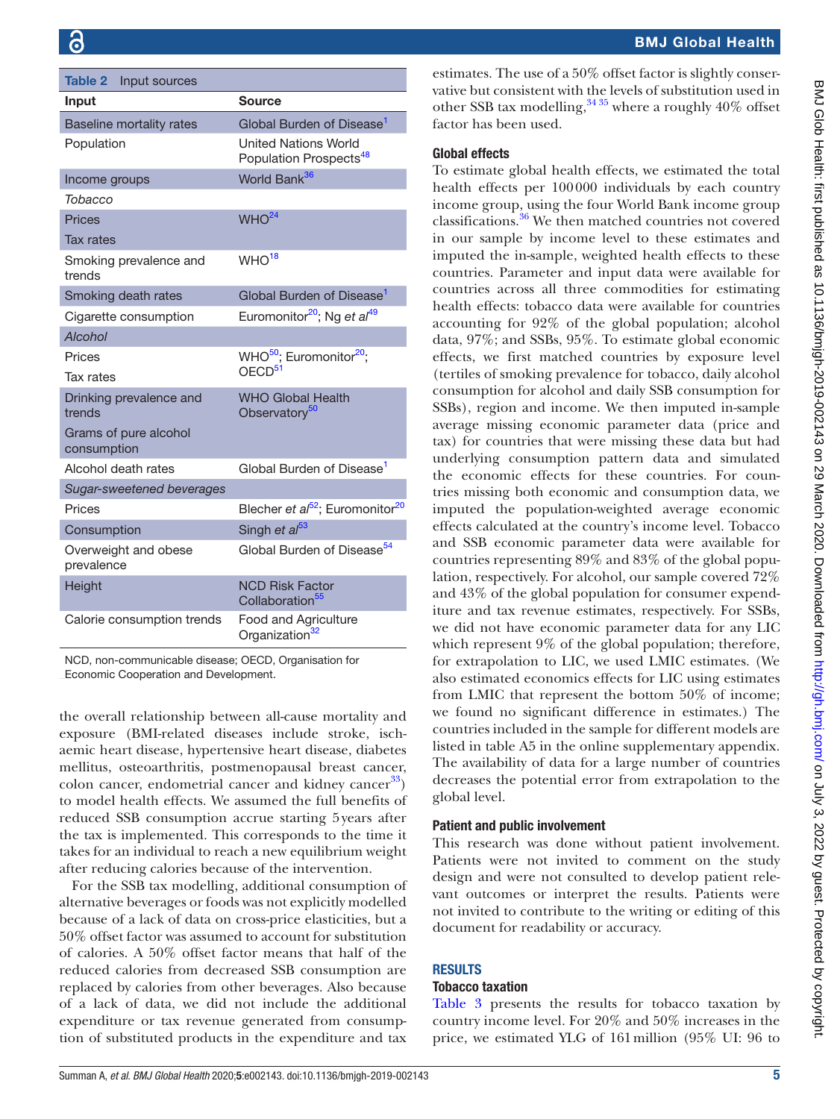<span id="page-4-0"></span>

| Table 2<br>Input sources             |                                                                   |  |  |  |
|--------------------------------------|-------------------------------------------------------------------|--|--|--|
| Input                                | Source                                                            |  |  |  |
| Baseline mortality rates             | Global Burden of Disease <sup>1</sup>                             |  |  |  |
| Population                           | <b>United Nations World</b><br>Population Prospects <sup>48</sup> |  |  |  |
| Income groups                        | World Bank <sup>36</sup>                                          |  |  |  |
| Tobacco                              |                                                                   |  |  |  |
| Prices                               | WHO <sup>24</sup>                                                 |  |  |  |
| <b>Tax rates</b>                     |                                                                   |  |  |  |
| Smoking prevalence and<br>trends     | WHO <sup>18</sup>                                                 |  |  |  |
| Smoking death rates                  | Global Burden of Disease <sup>1</sup>                             |  |  |  |
| Cigarette consumption                | Euromonitor <sup>20</sup> ; Ng et al <sup>49</sup>                |  |  |  |
| Alcohol                              |                                                                   |  |  |  |
| Prices                               | WHO <sup>50</sup> ; Euromonitor <sup>20</sup> ;                   |  |  |  |
| Tax rates                            | OECD <sup>51</sup>                                                |  |  |  |
| Drinking prevalence and<br>trends    | <b>WHO Global Health</b><br>Observatory <sup>50</sup>             |  |  |  |
| Grams of pure alcohol<br>consumption |                                                                   |  |  |  |
| Alcohol death rates                  | Global Burden of Disease <sup>1</sup>                             |  |  |  |
| Sugar-sweetened beverages            |                                                                   |  |  |  |
| Prices                               | Blecher et al <sup>52</sup> ; Euromonitor <sup>20</sup>           |  |  |  |
| Consumption                          | Singh et al <sup>53</sup>                                         |  |  |  |
| Overweight and obese<br>prevalence   | Global Burden of Disease <sup>54</sup>                            |  |  |  |
| Height                               | <b>NCD Risk Factor</b><br>Collaboration <sup>55</sup>             |  |  |  |
| Calorie consumption trends           | Food and Agriculture<br>Organization <sup>32</sup>                |  |  |  |

NCD, non-communicable disease; OECD, Organisation for Economic Cooperation and Development.

the overall relationship between all-cause mortality and exposure (BMI-related diseases include stroke, ischaemic heart disease, hypertensive heart disease, diabetes mellitus, osteoarthritis, postmenopausal breast cancer, colon cancer, endometrial cancer and kidney cancer $^{33}$ ) to model health effects. We assumed the full benefits of reduced SSB consumption accrue starting 5years after the tax is implemented. This corresponds to the time it takes for an individual to reach a new equilibrium weight after reducing calories because of the intervention.

For the SSB tax modelling, additional consumption of alternative beverages or foods was not explicitly modelled because of a lack of data on cross-price elasticities, but a 50% offset factor was assumed to account for substitution of calories. A 50% offset factor means that half of the reduced calories from decreased SSB consumption are replaced by calories from other beverages. Also because of a lack of data, we did not include the additional expenditure or tax revenue generated from consumption of substituted products in the expenditure and tax

# BMJ Global Health

estimates. The use of a 50% offset factor is slightly conservative but consistent with the levels of substitution used in other SSB tax modelling,  $3435$  where a roughly  $40\%$  offset factor has been used.

### Global effects

To estimate global health effects, we estimated the total health effects per 100000 individuals by each country income group, using the four World Bank income group classifications.[36](#page-11-18) We then matched countries not covered in our sample by income level to these estimates and imputed the in-sample, weighted health effects to these countries. Parameter and input data were available for countries across all three commodities for estimating health effects: tobacco data were available for countries accounting for 92% of the global population; alcohol data, 97%; and SSBs, 95%. To estimate global economic effects, we first matched countries by exposure level (tertiles of smoking prevalence for tobacco, daily alcohol consumption for alcohol and daily SSB consumption for SSBs), region and income. We then imputed in-sample average missing economic parameter data (price and tax) for countries that were missing these data but had underlying consumption pattern data and simulated the economic effects for these countries. For countries missing both economic and consumption data, we imputed the population-weighted average economic effects calculated at the country's income level. Tobacco and SSB economic parameter data were available for countries representing 89% and 83% of the global population, respectively. For alcohol, our sample covered 72% and 43% of the global population for consumer expenditure and tax revenue estimates, respectively. For SSBs, we did not have economic parameter data for any LIC which represent 9% of the global population; therefore, for extrapolation to LIC, we used LMIC estimates. (We also estimated economics effects for LIC using estimates from LMIC that represent the bottom 50% of income; we found no significant difference in estimates.) The countries included in the sample for different models are listed in table A5 in the [online supplementary appendix.](https://dx.doi.org/10.1136/bmjgh-2019-002143) The availability of data for a large number of countries decreases the potential error from extrapolation to the global level.

# Patient and public involvement

This research was done without patient involvement. Patients were not invited to comment on the study design and were not consulted to develop patient relevant outcomes or interpret the results. Patients were not invited to contribute to the writing or editing of this document for readability or accuracy.

# **RESULTS**

#### Tobacco taxation

[Table](#page-5-0) 3 presents the results for tobacco taxation by country income level. For 20% and 50% increases in the price, we estimated YLG of 161million (95% UI: 96 to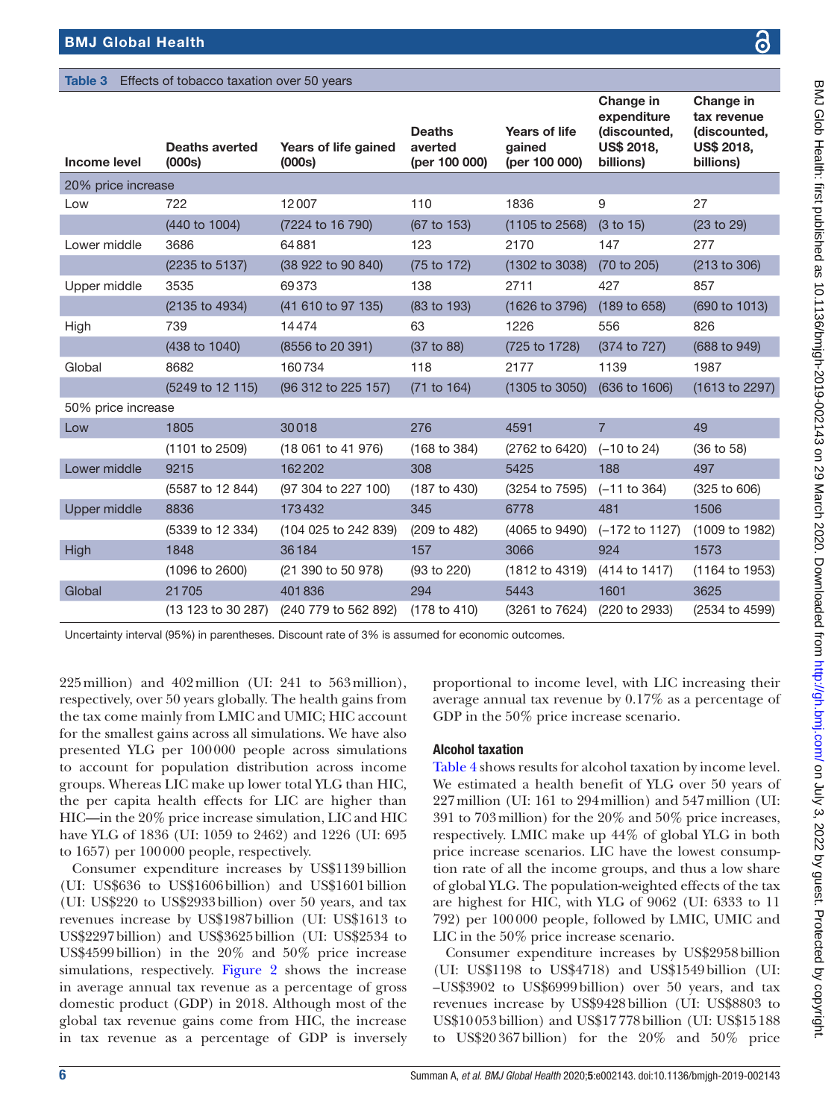# <span id="page-5-0"></span>Table 3 Effects of tobacco taxation over 50 years

| <b>Income level</b> | <b>Deaths averted</b><br>(000s) | Years of life gained<br>(000s) | <b>Deaths</b><br>averted<br>(per 100 000) | <b>Years of life</b><br>gained<br>(per 100 000) | Change in<br>expenditure<br>(discounted,<br><b>US\$ 2018,</b><br>billions) | Change in<br>tax revenue<br>(discounted,<br><b>US\$ 2018,</b><br>billions) |
|---------------------|---------------------------------|--------------------------------|-------------------------------------------|-------------------------------------------------|----------------------------------------------------------------------------|----------------------------------------------------------------------------|
| 20% price increase  |                                 |                                |                                           |                                                 |                                                                            |                                                                            |
| Low                 | 722                             | 12007                          | 110                                       | 1836                                            | 9                                                                          | 27                                                                         |
|                     | (440 to 1004)                   | (7224 to 16 790)               | (67 to 153)                               | (1105 to 2568)                                  | (3 to 15)                                                                  | (23 to 29)                                                                 |
| Lower middle        | 3686                            | 64881                          | 123                                       | 2170                                            | 147                                                                        | 277                                                                        |
|                     | (2235 to 5137)                  | (38 922 to 90 840)             | (75 to 172)                               | (1302 to 3038)                                  | (70 to 205)                                                                | (213 to 306)                                                               |
| Upper middle        | 3535                            | 69373                          | 138                                       | 2711                                            | 427                                                                        | 857                                                                        |
|                     | (2135 to 4934)                  | (41 610 to 97 135)             | (83 to 193)                               | (1626 to 3796)                                  | (189 to 658)                                                               | (690 to 1013)                                                              |
| High                | 739                             | 14474                          | 63                                        | 1226                                            | 556                                                                        | 826                                                                        |
|                     | (438 to 1040)                   | (8556 to 20 391)               | (37 to 88)                                | (725 to 1728)                                   | (374 to 727)                                                               | (688 to 949)                                                               |
| Global              | 8682                            | 160734                         | 118                                       | 2177                                            | 1139                                                                       | 1987                                                                       |
|                     | (5249 to 12 115)                | (96 312 to 225 157)            | (71 to 164)                               | (1305 to 3050)                                  | (636 to 1606)                                                              | (1613 to 2297)                                                             |
| 50% price increase  |                                 |                                |                                           |                                                 |                                                                            |                                                                            |
| Low                 | 1805                            | 30018                          | 276                                       | 4591                                            | $\overline{7}$                                                             | 49                                                                         |
|                     | (1101 to 2509)                  | (18 061 to 41 976)             | (168 to 384)                              | (2762 to 6420)                                  | $(-10 \text{ to } 24)$                                                     | (36 to 58)                                                                 |
| Lower middle        | 9215                            | 162202                         | 308                                       | 5425                                            | 188                                                                        | 497                                                                        |
|                     | (5587 to 12 844)                | (97 304 to 227 100)            | (187 to 430)                              | (3254 to 7595)                                  | $(-11$ to 364)                                                             | (325 to 606)                                                               |
| Upper middle        | 8836                            | 173432                         | 345                                       | 6778                                            | 481                                                                        | 1506                                                                       |
|                     | (5339 to 12 334)                | (104 025 to 242 839)           | (209 to 482)                              | (4065 to 9490)                                  | (-172 to 1127)                                                             | (1009 to 1982)                                                             |
| High                | 1848                            | 36184                          | 157                                       | 3066                                            | 924                                                                        | 1573                                                                       |
|                     | (1096 to 2600)                  | (21 390 to 50 978)             | (93 to 220)                               | (1812 to 4319)                                  | (414 to 1417)                                                              | (1164 to 1953)                                                             |
| Global              | 21705                           | 401836                         | 294                                       | 5443                                            | 1601                                                                       | 3625                                                                       |
|                     | (13 123 to 30 287)              | (240 779 to 562 892)           | (178 to 410)                              | (3261 to 7624)                                  | (220 to 2933)                                                              | (2534 to 4599)                                                             |

Uncertainty interval (95%) in parentheses. Discount rate of 3% is assumed for economic outcomes.

225million) and 402million (UI: 241 to 563million), respectively, over 50 years globally. The health gains from the tax come mainly from LMIC and UMIC; HIC account for the smallest gains across all simulations. We have also presented YLG per 100000 people across simulations to account for population distribution across income groups. Whereas LIC make up lower total YLG than HIC, the per capita health effects for LIC are higher than HIC—in the 20% price increase simulation, LIC and HIC have YLG of 1836 (UI: 1059 to 2462) and 1226 (UI: 695 to 1657) per 100000 people, respectively.

Consumer expenditure increases by US\$1139billion (UI: US\$636 to US\$1606billion) and US\$1601billion (UI: US\$220 to US\$2933billion) over 50 years, and tax revenues increase by US\$1987billion (UI: US\$1613 to US\$2297billion) and US\$3625billion (UI: US\$2534 to US\$4599billion) in the 20% and 50% price increase simulations, respectively. [Figure](#page-6-0) 2 shows the increase in average annual tax revenue as a percentage of gross domestic product (GDP) in 2018. Although most of the global tax revenue gains come from HIC, the increase in tax revenue as a percentage of GDP is inversely proportional to income level, with LIC increasing their average annual tax revenue by 0.17% as a percentage of GDP in the 50% price increase scenario.

# Alcohol taxation

[Table](#page-7-0) 4 shows results for alcohol taxation by income level. We estimated a health benefit of YLG over 50 years of 227million (UI: 161 to 294million) and 547million (UI: 391 to 703million) for the 20% and 50% price increases, respectively. LMIC make up 44% of global YLG in both price increase scenarios. LIC have the lowest consumption rate of all the income groups, and thus a low share of global YLG. The population-weighted effects of the tax are highest for HIC, with YLG of 9062 (UI: 6333 to 11 792) per 100000 people, followed by LMIC, UMIC and LIC in the 50% price increase scenario.

Consumer expenditure increases by US\$2958billion (UI: US\$1198 to US\$4718) and US\$1549billion (UI: –US\$3902 to US\$6999billion) over 50 years, and tax revenues increase by US\$9428billion (UI: US\$8803 to US\$10053billion) and US\$17778billion (UI: US\$15188 to US\$20367billion) for the 20% and 50% price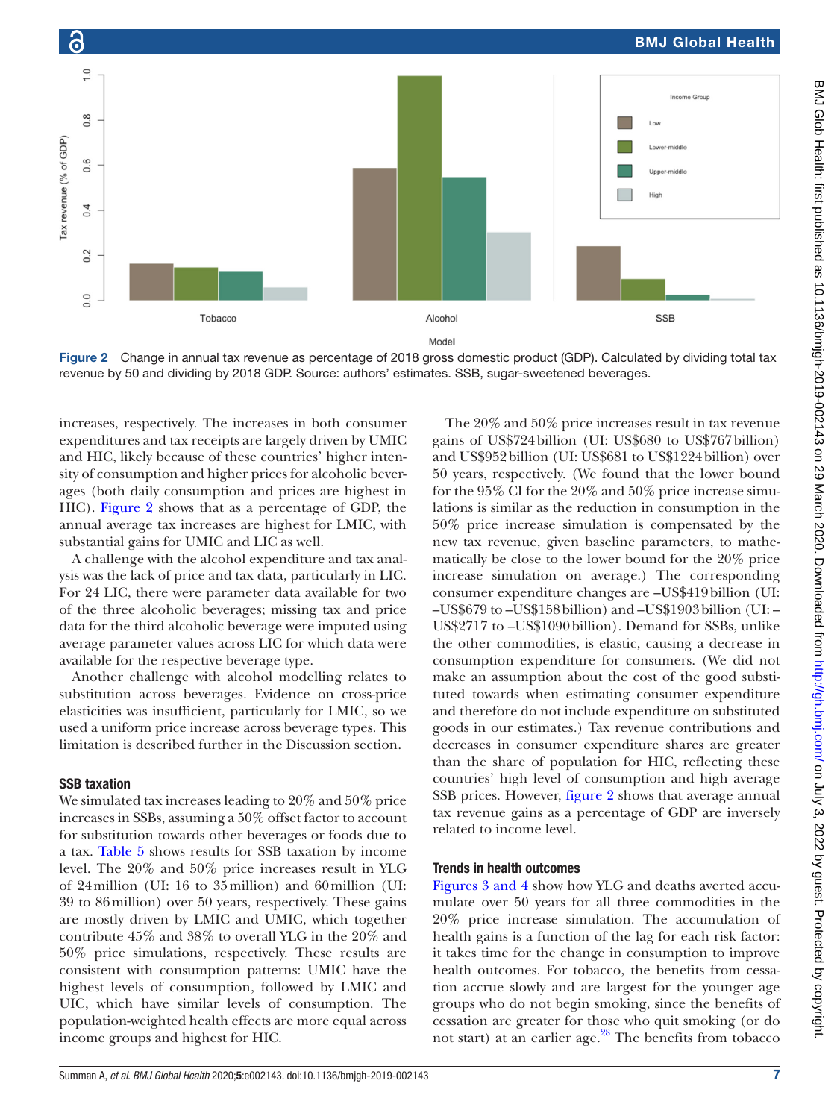

<span id="page-6-0"></span>Figure 2 Change in annual tax revenue as percentage of 2018 gross domestic product (GDP). Calculated by dividing total tax revenue by 50 and dividing by 2018 GDP. Source: authors' estimates. SSB, sugar-sweetened beverages.

increases, respectively. The increases in both consumer expenditures and tax receipts are largely driven by UMIC and HIC, likely because of these countries' higher intensity of consumption and higher prices for alcoholic beverages (both daily consumption and prices are highest in HIC). [Figure](#page-6-0) 2 shows that as a percentage of GDP, the annual average tax increases are highest for LMIC, with substantial gains for UMIC and LIC as well.

A challenge with the alcohol expenditure and tax analysis was the lack of price and tax data, particularly in LIC. For 24 LIC, there were parameter data available for two of the three alcoholic beverages; missing tax and price data for the third alcoholic beverage were imputed using average parameter values across LIC for which data were available for the respective beverage type.

Another challenge with alcohol modelling relates to substitution across beverages. Evidence on cross-price elasticities was insufficient, particularly for LMIC, so we used a uniform price increase across beverage types. This limitation is described further in the Discussion section.

#### SSB taxation

We simulated tax increases leading to 20% and 50% price increases in SSBs, assuming a 50% offset factor to account for substitution towards other beverages or foods due to a tax. [Table](#page-8-0) 5 shows results for SSB taxation by income level. The 20% and 50% price increases result in YLG of 24million (UI: 16 to 35million) and 60million (UI: 39 to 86million) over 50 years, respectively. These gains are mostly driven by LMIC and UMIC, which together contribute 45% and 38% to overall YLG in the 20% and 50% price simulations, respectively. These results are consistent with consumption patterns: UMIC have the highest levels of consumption, followed by LMIC and UIC, which have similar levels of consumption. The population-weighted health effects are more equal across income groups and highest for HIC.

The 20% and 50% price increases result in tax revenue gains of US\$724billion (UI: US\$680 to US\$767billion) and US\$952billion (UI: US\$681 to US\$1224billion) over 50 years, respectively. (We found that the lower bound for the 95% CI for the 20% and 50% price increase simulations is similar as the reduction in consumption in the 50% price increase simulation is compensated by the new tax revenue, given baseline parameters, to mathematically be close to the lower bound for the 20% price increase simulation on average.) The corresponding consumer expenditure changes are –US\$419billion (UI: –US\$679 to –US\$158billion) and –US\$1903billion (UI: – US\$2717 to –US\$1090billion). Demand for SSBs, unlike the other commodities, is elastic, causing a decrease in consumption expenditure for consumers. (We did not make an assumption about the cost of the good substituted towards when estimating consumer expenditure and therefore do not include expenditure on substituted goods in our estimates.) Tax revenue contributions and decreases in consumer expenditure shares are greater than the share of population for HIC, reflecting these countries' high level of consumption and high average SSB prices. However, [figure](#page-6-0) 2 shows that average annual tax revenue gains as a percentage of GDP are inversely related to income level.

#### Trends in health outcomes

Figures [3 and 4](#page-8-1) show how YLG and deaths averted accumulate over 50 years for all three commodities in the 20% price increase simulation. The accumulation of health gains is a function of the lag for each risk factor: it takes time for the change in consumption to improve health outcomes. For tobacco, the benefits from cessation accrue slowly and are largest for the younger age groups who do not begin smoking, since the benefits of cessation are greater for those who quit smoking (or do not start) at an earlier age.<sup>28</sup> The benefits from tobacco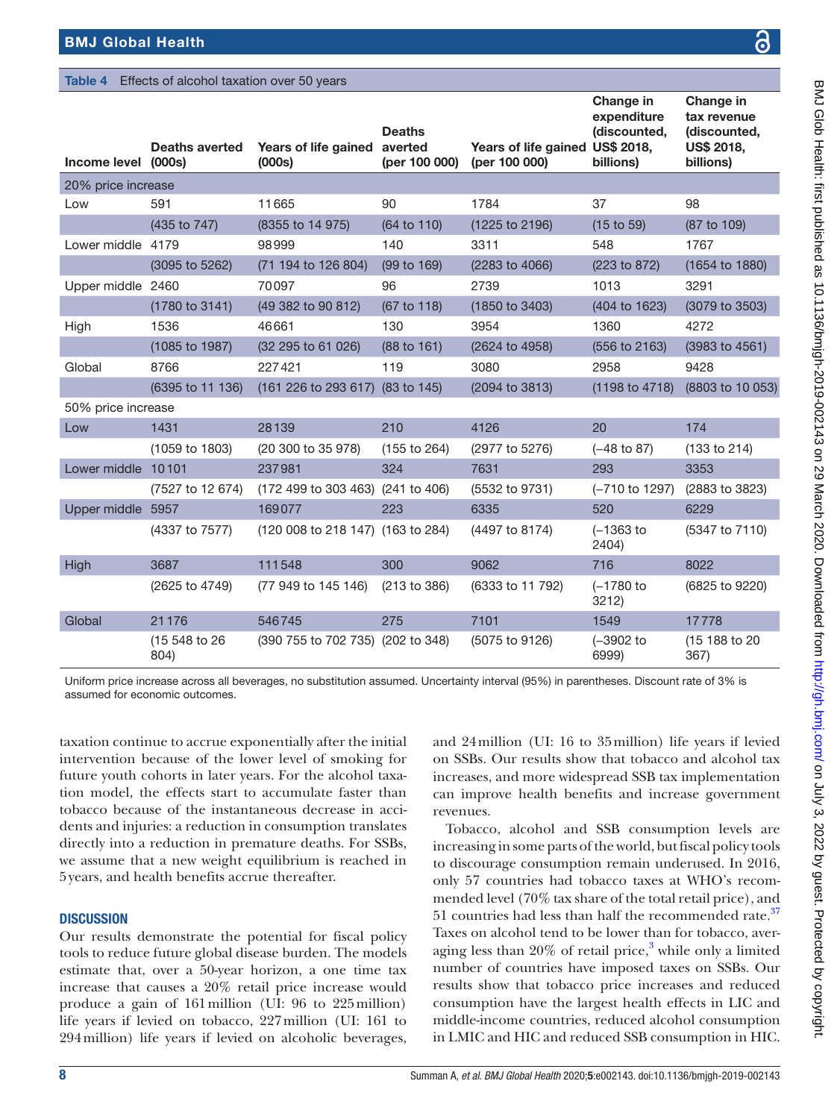#### <span id="page-7-0"></span>Table 4 Effects of alcohol taxation over 50 years

| Income level (000s) | <b>Deaths averted</b>     | Years of life gained<br>(000s)    | <b>Deaths</b><br>averted<br>(per 100 000) | Years of life gained US\$ 2018,<br>(per 100 000) | expenditure<br>(discounted,<br>billions) | tax revenue<br>(discounted,<br>US\$ 2018,<br>billions) |
|---------------------|---------------------------|-----------------------------------|-------------------------------------------|--------------------------------------------------|------------------------------------------|--------------------------------------------------------|
| 20% price increase  |                           |                                   |                                           |                                                  |                                          |                                                        |
| Low                 | 591                       | 11665                             | 90                                        | 1784                                             | 37                                       | 98                                                     |
|                     | (435 to 747)              | (8355 to 14 975)                  | (64 to 110)                               | (1225 to 2196)                                   | (15 to 59)                               | (87 to 109)                                            |
| Lower middle 4179   |                           | 98999                             | 140                                       | 3311                                             | 548                                      | 1767                                                   |
|                     | (3095 to 5262)            | (71 194 to 126 804)               | (99 to 169)                               | (2283 to 4066)                                   | (223 to 872)                             | (1654 to 1880)                                         |
| Upper middle 2460   |                           | 70097                             | 96                                        | 2739                                             | 1013                                     | 3291                                                   |
|                     | $(1780 \text{ to } 3141)$ | (49 382 to 90 812)                | (67 to 118)                               | $(1850 \text{ to } 3403)$                        | (404 to 1623)                            | (3079 to 3503)                                         |
| High                | 1536                      | 46661                             | 130                                       | 3954                                             | 1360                                     | 4272                                                   |
|                     | (1085 to 1987)            | (32 295 to 61 026)                | (88 to 161)                               | (2624 to 4958)                                   | (556 to 2163)                            | (3983 to 4561)                                         |
| Global              | 8766                      | 227421                            | 119                                       | 3080                                             | 2958                                     | 9428                                                   |
|                     | (6395 to 11 136)          | (161 226 to 293 617) (83 to 145)  |                                           | (2094 to 3813)                                   | (1198 to 4718)                           | (8803 to 10 053)                                       |
| 50% price increase  |                           |                                   |                                           |                                                  |                                          |                                                        |
| Low                 | 1431                      | 28139                             | 210                                       | 4126                                             | 20                                       | 174                                                    |
|                     | (1059 to 1803)            | (20 300 to 35 978)                | (155 to 264)                              | (2977 to 5276)                                   | $(-48 \text{ to } 87)$                   | (133 to 214)                                           |
| Lower middle 10101  |                           | 237981                            | 324                                       | 7631                                             | 293                                      | 3353                                                   |
|                     | (7527 to 12 674)          | (172 499 to 303 463) (241 to 406) |                                           | (5532 to 9731)                                   | (-710 to 1297)                           | (2883 to 3823)                                         |
| Upper middle 5957   |                           | 169077                            | 223                                       | 6335                                             | 520                                      | 6229                                                   |
|                     | (4337 to 7577)            | (120 008 to 218 147) (163 to 284) |                                           | (4497 to 8174)                                   | $(-1363)$ to<br>2404)                    | (5347 to 7110)                                         |
| High                | 3687                      | 111548                            | 300                                       | 9062                                             | 716                                      | 8022                                                   |
|                     | $(2625 \text{ to } 4749)$ | (77 949 to 145 146)               | (213 to 386)                              | (6333 to 11 792)                                 | $(-1780)$ to<br>3212)                    | (6825 to 9220)                                         |
| Global              | 21176                     | 546745                            | 275                                       | 7101                                             | 1549                                     | 17778                                                  |
|                     | (15 548 to 26<br>804)     | (390 755 to 702 735) (202 to 348) |                                           | (5075 to 9126)                                   | $(-3902)$ to<br>6999)                    | (15 188 to 20<br>367)                                  |

Uniform price increase across all beverages, no substitution assumed. Uncertainty interval (95%) in parentheses. Discount rate of 3% is assumed for economic outcomes.

taxation continue to accrue exponentially after the initial intervention because of the lower level of smoking for future youth cohorts in later years. For the alcohol taxation model, the effects start to accumulate faster than tobacco because of the instantaneous decrease in accidents and injuries: a reduction in consumption translates directly into a reduction in premature deaths. For SSBs, we assume that a new weight equilibrium is reached in 5years, and health benefits accrue thereafter.

# **DISCUSSION**

Our results demonstrate the potential for fiscal policy tools to reduce future global disease burden. The models estimate that, over a 50-year horizon, a one time tax increase that causes a 20% retail price increase would produce a gain of 161million (UI: 96 to 225million) life years if levied on tobacco, 227million (UI: 161 to 294million) life years if levied on alcoholic beverages,

and 24million (UI: 16 to 35million) life years if levied on SSBs. Our results show that tobacco and alcohol tax increases, and more widespread SSB tax implementation can improve health benefits and increase government revenues.

Change in

Tobacco, alcohol and SSB consumption levels are increasing in some parts of the world, but fiscal policy tools to discourage consumption remain underused. In 2016, only 57 countries had tobacco taxes at WHO's recommended level (70% tax share of the total retail price), and 51 countries had less than half the recommended rate. $37$ Taxes on alcohol tend to be lower than for tobacco, averaging less than  $20\%$  of retail price,<sup>[3](#page-10-2)</sup> while only a limited number of countries have imposed taxes on SSBs. Our results show that tobacco price increases and reduced consumption have the largest health effects in LIC and middle-income countries, reduced alcohol consumption in LMIC and HIC and reduced SSB consumption in HIC.

Change in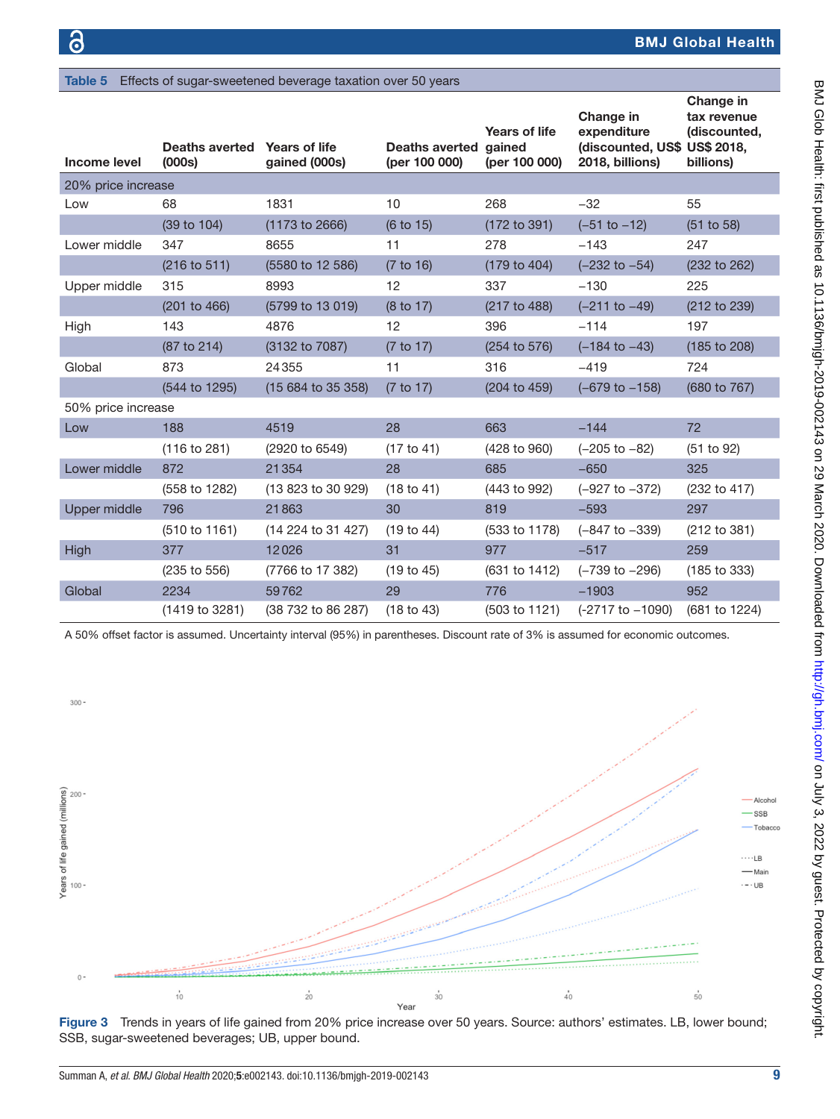<span id="page-8-0"></span>Table 5 Effects of sugar-sweetened beverage taxation over 50 years

| Income level       | Deaths averted Years of life<br>(000s) | gained (000s)      | <b>Deaths averted</b><br>(per 100 000) | <b>Years of life</b><br>gained<br>(per 100 000) | Change in<br>expenditure<br>(discounted, US\$ US\$ 2018,<br>2018, billions) | Change in<br>tax revenue<br>(discounted,<br>billions) |
|--------------------|----------------------------------------|--------------------|----------------------------------------|-------------------------------------------------|-----------------------------------------------------------------------------|-------------------------------------------------------|
| 20% price increase |                                        |                    |                                        |                                                 |                                                                             |                                                       |
| Low                | 68                                     | 1831               | 10                                     | 268                                             | $-32$                                                                       | 55                                                    |
|                    | (39 to 104)                            | (1173 to 2666)     | (6 to 15)                              | (172 to 391)                                    | $(-51 to -12)$                                                              | (51 to 58)                                            |
| Lower middle       | 347                                    | 8655               | 11                                     | 278                                             | $-143$                                                                      | 247                                                   |
|                    | (216 to 511)                           | (5580 to 12 586)   | (7 to 16)                              | (179 to 404)                                    | $(-232$ to $-54)$                                                           | (232 to 262)                                          |
| Upper middle       | 315                                    | 8993               | 12                                     | 337                                             | $-130$                                                                      | 225                                                   |
|                    | (201 to 466)                           | (5799 to 13 019)   | (8 to 17)                              | (217 to 488)                                    | $(-211$ to $-49)$                                                           | (212 to 239)                                          |
| High               | 143                                    | 4876               | 12                                     | 396                                             | $-114$                                                                      | 197                                                   |
|                    | (87 to 214)                            | (3132 to 7087)     | (7 to 17)                              | $(254 \text{ to } 576)$                         | $(-184 \text{ to } -43)$                                                    | (185 to 208)                                          |
| Global             | 873                                    | 24355              | 11                                     | 316                                             | $-419$                                                                      | 724                                                   |
|                    | (544 to 1295)                          | (15 684 to 35 358) | (7 to 17)                              | (204 to 459)                                    | $(-679$ to $-158)$                                                          | (680 to 767)                                          |
| 50% price increase |                                        |                    |                                        |                                                 |                                                                             |                                                       |
| Low                | 188                                    | 4519               | 28                                     | 663                                             | $-144$                                                                      | 72                                                    |
|                    | (116 to 281)                           | (2920 to 6549)     | (17 to 41)                             | (428 to 960)                                    | $(-205$ to $-82)$                                                           | (51 to 92)                                            |
| Lower middle       | 872                                    | 21354              | 28                                     | 685                                             | $-650$                                                                      | 325                                                   |
|                    | (558 to 1282)                          | (13 823 to 30 929) | (18 to 41)                             | (443 to 992)                                    | $(-927$ to $-372)$                                                          | (232 to 417)                                          |
| Upper middle       | 796                                    | 21863              | 30                                     | 819                                             | $-593$                                                                      | 297                                                   |
|                    | (510 to 1161)                          | (14 224 to 31 427) | (19 to 44)                             | (533 to 1178)                                   | $(-847$ to $-339)$                                                          | (212 to 381)                                          |
| High               | 377                                    | 12026              | 31                                     | 977                                             | $-517$                                                                      | 259                                                   |
|                    | (235 to 556)                           | (7766 to 17 382)   | (19 to 45)                             | (631 to 1412)                                   | $(-739$ to $-296)$                                                          | (185 to 333)                                          |
| Global             | 2234                                   | 59762              | 29                                     | 776                                             | $-1903$                                                                     | 952                                                   |
|                    | (1419 to 3281)                         | (38 732 to 86 287) | (18 to 43)                             | (503 to 1121)                                   | $(-2717$ to $-1090)$                                                        | (681 to 1224)                                         |

A 50% offset factor is assumed. Uncertainty interval (95%) in parentheses. Discount rate of 3% is assumed for economic outcomes.



<span id="page-8-1"></span>Figure 3 Trends in years of life gained from 20% price increase over 50 years. Source: authors' estimates. LB, lower bound; SSB, sugar-sweetened beverages; UB, upper bound.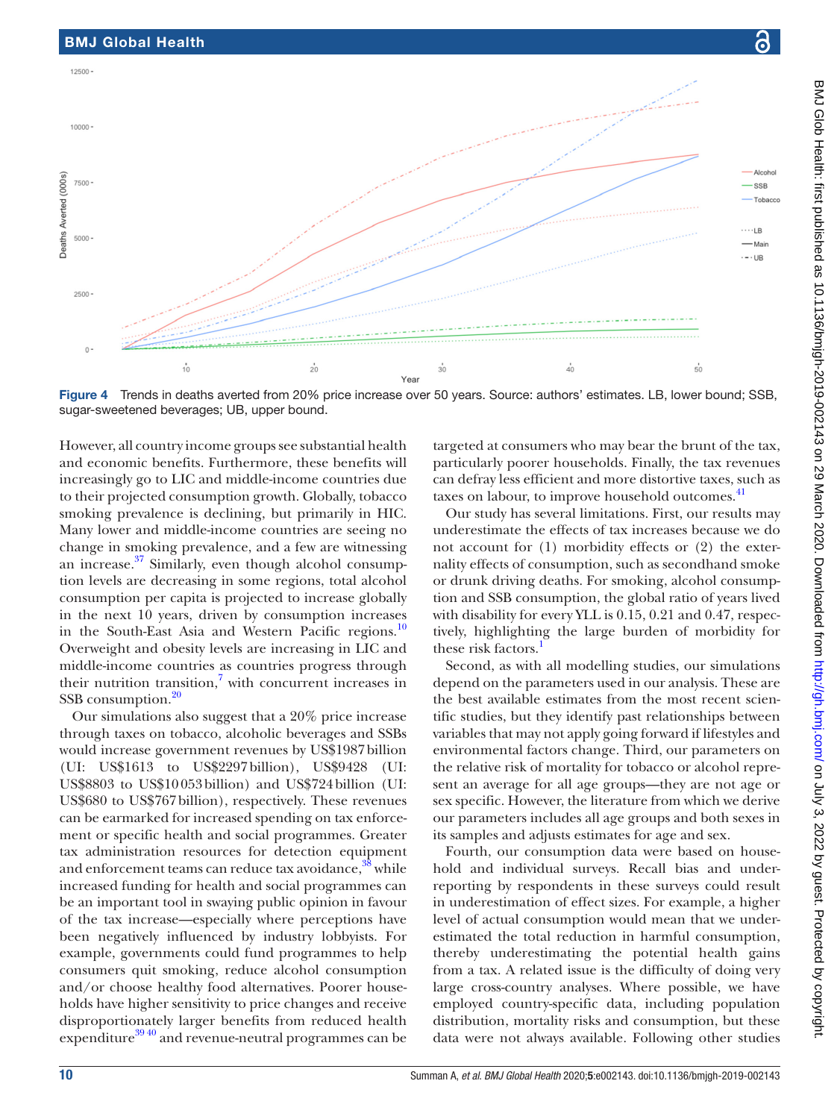



Alcoho

- SSF Tobacco

 $\cdots$ LB

 $\overline{50}$ 

- Mair  $\cdot$  UE

Yea Figure 4 Trends in deaths averted from 20% price increase over 50 years. Source: authors' estimates. LB, lower bound; SSB, sugar-sweetened beverages; UB, upper bound.

 $30$ 

 $20$ 

However, all country income groups see substantial health and economic benefits. Furthermore, these benefits will increasingly go to LIC and middle-income countries due to their projected consumption growth. Globally, tobacco smoking prevalence is declining, but primarily in HIC. Many lower and middle-income countries are seeing no change in smoking prevalence, and a few are witnessing an increase.<sup>[37](#page-11-28)</sup> Similarly, even though alcohol consumption levels are decreasing in some regions, total alcohol consumption per capita is projected to increase globally in the next 10 years, driven by consumption increases in the South-East Asia and Western Pacific regions.<sup>[10](#page-10-10)</sup> Overweight and obesity levels are increasing in LIC and middle-income countries as countries progress through their nutrition transition, $\frac{7}{1}$  $\frac{7}{1}$  $\frac{7}{1}$  with concurrent increases in SSB consumption.<sup>[20](#page-11-3)</sup>

 $10$ 

BMJ Global Health

12500

10000

7500

5000

2500

Deaths Averted (000s)

Our simulations also suggest that a 20% price increase through taxes on tobacco, alcoholic beverages and SSBs would increase government revenues by US\$1987billion (UI: US\$1613 to US\$2297billion), US\$9428 (UI: US\$8803 to US\$10053billion) and US\$724billion (UI: US\$680 to US\$767billion), respectively. These revenues can be earmarked for increased spending on tax enforcement or specific health and social programmes. Greater tax administration resources for detection equipment and enforcement teams can reduce tax avoidance,<sup>38</sup> while increased funding for health and social programmes can be an important tool in swaying public opinion in favour of the tax increase—especially where perceptions have been negatively influenced by industry lobbyists. For example, governments could fund programmes to help consumers quit smoking, reduce alcohol consumption and/or choose healthy food alternatives. Poorer households have higher sensitivity to price changes and receive disproportionately larger benefits from reduced health expenditure $39\frac{40}{9}$  and revenue-neutral programmes can be

targeted at consumers who may bear the brunt of the tax, particularly poorer households. Finally, the tax revenues can defray less efficient and more distortive taxes, such as taxes on labour, to improve household outcomes.<sup>41</sup>

Our study has several limitations. First, our results may underestimate the effects of tax increases because we do not account for (1) morbidity effects or (2) the externality effects of consumption, such as secondhand smoke or drunk driving deaths. For smoking, alcohol consumption and SSB consumption, the global ratio of years lived with disability for every YLL is 0.15, 0.21 and 0.47, respectively, highlighting the large burden of morbidity for these risk factors.<sup>1</sup>

Second, as with all modelling studies, our simulations depend on the parameters used in our analysis. These are the best available estimates from the most recent scientific studies, but they identify past relationships between variables that may not apply going forward if lifestyles and environmental factors change. Third, our parameters on the relative risk of mortality for tobacco or alcohol represent an average for all age groups—they are not age or sex specific. However, the literature from which we derive our parameters includes all age groups and both sexes in its samples and adjusts estimates for age and sex.

Fourth, our consumption data were based on household and individual surveys. Recall bias and underreporting by respondents in these surveys could result in underestimation of effect sizes. For example, a higher level of actual consumption would mean that we underestimated the total reduction in harmful consumption, thereby underestimating the potential health gains from a tax. A related issue is the difficulty of doing very large cross-country analyses. Where possible, we have employed country-specific data, including population distribution, mortality risks and consumption, but these data were not always available. Following other studies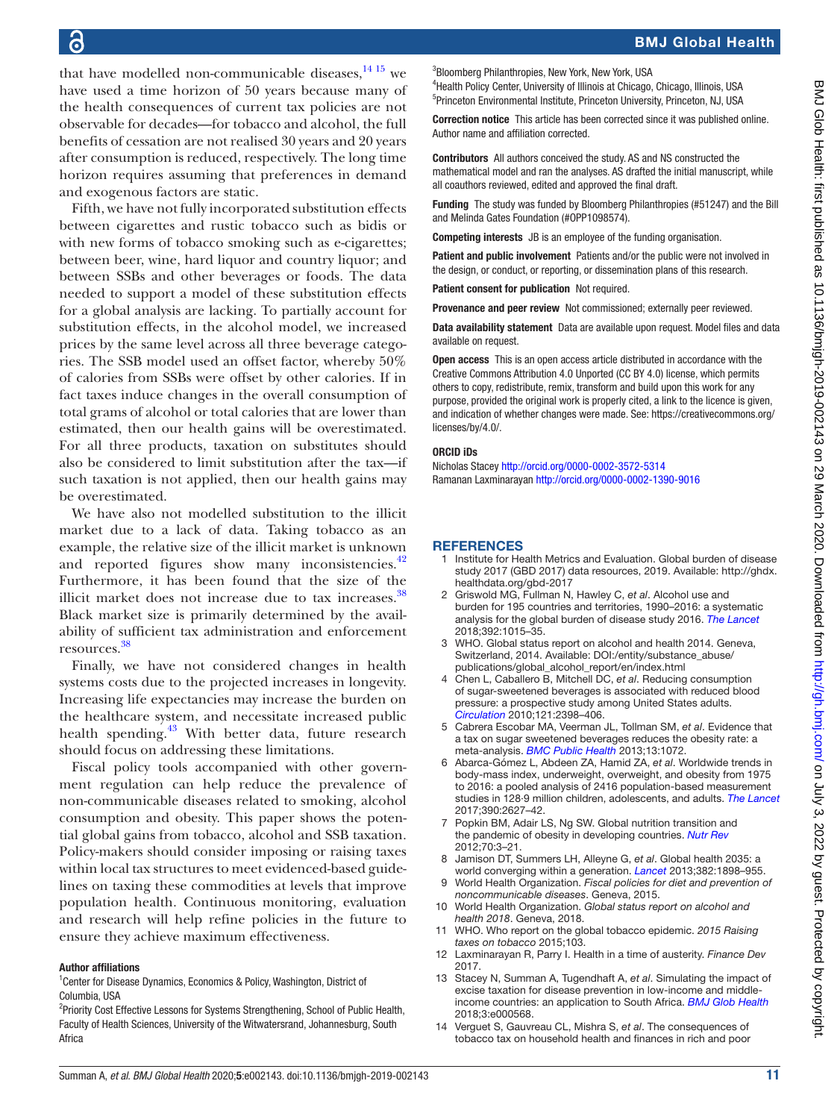that have modelled non-communicable diseases, $1415$  we have used a time horizon of 50 years because many of the health consequences of current tax policies are not observable for decades—for tobacco and alcohol, the full benefits of cessation are not realised 30 years and 20 years after consumption is reduced, respectively. The long time horizon requires assuming that preferences in demand and exogenous factors are static.

Fifth, we have not fully incorporated substitution effects between cigarettes and rustic tobacco such as bidis or with new forms of tobacco smoking such as e-cigarettes; between beer, wine, hard liquor and country liquor; and between SSBs and other beverages or foods. The data needed to support a model of these substitution effects for a global analysis are lacking. To partially account for substitution effects, in the alcohol model, we increased prices by the same level across all three beverage categories. The SSB model used an offset factor, whereby 50% of calories from SSBs were offset by other calories. If in fact taxes induce changes in the overall consumption of total grams of alcohol or total calories that are lower than estimated, then our health gains will be overestimated. For all three products, taxation on substitutes should also be considered to limit substitution after the tax—if such taxation is not applied, then our health gains may be overestimated.

We have also not modelled substitution to the illicit market due to a lack of data. Taking tobacco as an example, the relative size of the illicit market is unknown and reported figures show many inconsistencies.<sup>42</sup> Furthermore, it has been found that the size of the illicit market does not increase due to tax increases. $38$ Black market size is primarily determined by the availability of sufficient tax administration and enforcement resources. [38](#page-11-29)

Finally, we have not considered changes in health systems costs due to the projected increases in longevity. Increasing life expectancies may increase the burden on the healthcare system, and necessitate increased public health spending.<sup>43</sup> With better data, future research should focus on addressing these limitations.

Fiscal policy tools accompanied with other government regulation can help reduce the prevalence of non-communicable diseases related to smoking, alcohol consumption and obesity. This paper shows the potential global gains from tobacco, alcohol and SSB taxation. Policy-makers should consider imposing or raising taxes within local tax structures to meet evidenced-based guidelines on taxing these commodities at levels that improve population health. Continuous monitoring, evaluation and research will help refine policies in the future to ensure they achieve maximum effectiveness.

#### Author affiliations

<sup>1</sup> Center for Disease Dynamics, Economics & Policy, Washington, District of Columbia, USA

<sup>2</sup> Priority Cost Effective Lessons for Systems Strengthening, School of Public Health, Faculty of Health Sciences, University of the Witwatersrand, Johannesburg, South Africa

3 Bloomberg Philanthropies, New York, New York, USA 4 Health Policy Center, University of Illinois at Chicago, Chicago, Illinois, USA

5 Princeton Environmental Institute, Princeton University, Princeton, NJ, USA Correction notice This article has been corrected since it was published online.

Author name and affiliation corrected.

Contributors All authors conceived the study. AS and NS constructed the mathematical model and ran the analyses. AS drafted the initial manuscript, while all coauthors reviewed, edited and approved the final draft.

Funding The study was funded by Bloomberg Philanthropies (#51247) and the Bill and Melinda Gates Foundation (#OPP1098574).

Competing interests JB is an employee of the funding organisation.

Patient and public involvement Patients and/or the public were not involved in the design, or conduct, or reporting, or dissemination plans of this research.

Patient consent for publication Not required.

Provenance and peer review Not commissioned; externally peer reviewed.

Data availability statement Data are available upon request. Model files and data available on request.

Open access This is an open access article distributed in accordance with the Creative Commons Attribution 4.0 Unported (CC BY 4.0) license, which permits others to copy, redistribute, remix, transform and build upon this work for any purpose, provided the original work is properly cited, a link to the licence is given, and indication of whether changes were made. See: [https://creativecommons.org/](https://creativecommons.org/licenses/by/4.0/) [licenses/by/4.0/](https://creativecommons.org/licenses/by/4.0/).

#### ORCID iDs

Nicholas Stacey <http://orcid.org/0000-0002-3572-5314> Ramanan Laxminarayan<http://orcid.org/0000-0002-1390-9016>

#### **REFERENCES**

- <span id="page-10-0"></span>1 Institute for Health Metrics and Evaluation. Global burden of disease study 2017 (GBD 2017) data resources, 2019. Available: [http://ghdx.](http://ghdx.healthdata.org/gbd-2017) [healthdata.org/gbd-2017](http://ghdx.healthdata.org/gbd-2017)
- <span id="page-10-1"></span>2 Griswold MG, Fullman N, Hawley C, *et al*. Alcohol use and burden for 195 countries and territories, 1990–2016: a systematic analysis for the global burden of disease study 2016. *[The Lancet](http://dx.doi.org/10.1016/S0140-6736(18)31310-2)* 2018;392:1015–35.
- <span id="page-10-2"></span>3 WHO. Global status report on alcohol and health 2014. Geneva, Switzerland, 2014. Available: [DOI:/entity/substance\\_abuse/](DOI:/entity/substance_abuse/publications/global_alcohol_report/en/index.html) [publications/global\\_alcohol\\_report/en/index.html](DOI:/entity/substance_abuse/publications/global_alcohol_report/en/index.html)
- <span id="page-10-3"></span>4 Chen L, Caballero B, Mitchell DC, *et al*. Reducing consumption of sugar-sweetened beverages is associated with reduced blood pressure: a prospective study among United States adults. *[Circulation](http://dx.doi.org/10.1161/CIRCULATIONAHA.109.911164)* 2010;121:2398–406.
- <span id="page-10-9"></span>5 Cabrera Escobar MA, Veerman JL, Tollman SM, *et al*. Evidence that a tax on sugar sweetened beverages reduces the obesity rate: a meta-analysis. *[BMC Public Health](http://dx.doi.org/10.1186/1471-2458-13-1072)* 2013;13:1072.
- <span id="page-10-4"></span>6 Abarca-Gómez L, Abdeen ZA, Hamid ZA, *et al*. Worldwide trends in body-mass index, underweight, overweight, and obesity from 1975 to 2016: a pooled analysis of 2416 population-based measurement studies in 128·9 million children, adolescents, and adults. *[The Lancet](http://dx.doi.org/10.1016/S0140-6736(17)32129-3)* 2017;390:2627–42.
- <span id="page-10-11"></span>7 Popkin BM, Adair LS, Ng SW. Global nutrition transition and the pandemic of obesity in developing countries. *[Nutr Rev](http://dx.doi.org/10.1111/j.1753-4887.2011.00456.x)* 2012;70:3–21.
- <span id="page-10-5"></span>8 Jamison DT, Summers LH, Alleyne G, *et al*. Global health 2035: a world converging within a generation. *[Lancet](http://dx.doi.org/10.1016/S0140-6736(13)62105-4)* 2013;382:1898–955.
- <span id="page-10-6"></span>9 World Health Organization. *Fiscal policies for diet and prevention of noncommunicable diseases*. Geneva, 2015.
- <span id="page-10-10"></span>10 World Health Organization. *Global status report on alcohol and health 2018*. Geneva, 2018.
- 11 WHO. Who report on the global tobacco epidemic. *2015 Raising taxes on tobacco* 2015;103.
- 12 Laxminarayan R, Parry I. Health in a time of austerity. *Finance Dev* 2017.
- <span id="page-10-7"></span>13 Stacey N, Summan A, Tugendhaft A, *et al*. Simulating the impact of excise taxation for disease prevention in low-income and middleincome countries: an application to South Africa. *[BMJ Glob Health](http://dx.doi.org/10.1136/bmjgh-2017-000568)* 2018;3:e000568.
- <span id="page-10-8"></span>14 Verguet S, Gauvreau CL, Mishra S, *et al*. The consequences of tobacco tax on household health and finances in rich and poor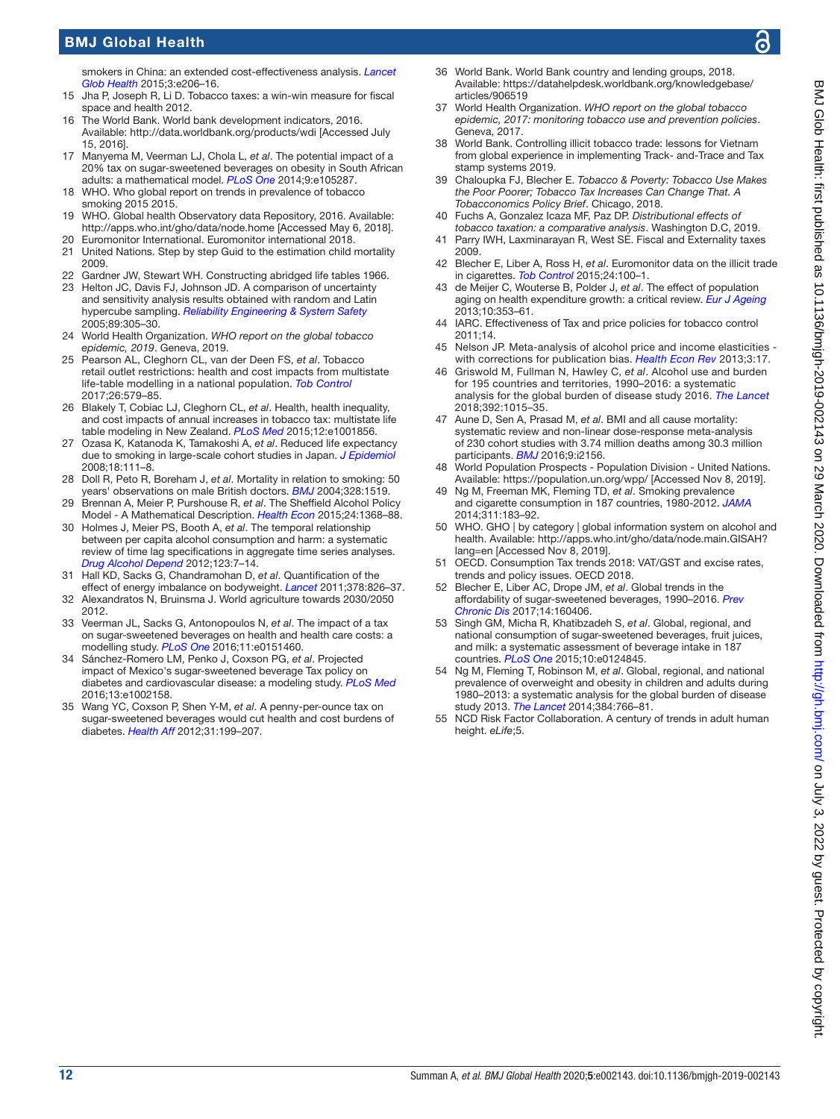# BMJ Global Health

smokers in China: an extended cost-effectiveness analysis. *[Lancet](http://dx.doi.org/10.1016/S2214-109X(15)70095-1)  [Glob Health](http://dx.doi.org/10.1016/S2214-109X(15)70095-1)* 2015;3:e206–16.

- 15 Jha P, Joseph R, Li D. Tobacco taxes: a win-win measure for fiscal space and health 2012.
- <span id="page-11-0"></span>16 The World Bank. World bank development indicators, 2016. Available:<http://data.worldbank.org/products/wdi> [Accessed July 15, 2016].
- 17 Manyema M, Veerman LJ, Chola L, *et al*. The potential impact of a 20% tax on sugar-sweetened beverages on obesity in South African adults: a mathematical model. *[PLoS One](http://dx.doi.org/10.1371/journal.pone.0105287)* 2014;9:e105287.
- <span id="page-11-1"></span>18 WHO. Who global report on trends in prevalence of tobacco smoking 2015 2015.
- <span id="page-11-2"></span>19 WHO. Global health Observatory data Repository, 2016. Available: <http://apps.who.int/gho/data/node.home>[Accessed May 6, 2018].
- <span id="page-11-4"></span><span id="page-11-3"></span>20 Euromonitor International. Euromonitor international 2018. 21 United Nations. Step by step Guid to the estimation child mortality 2009.
- <span id="page-11-5"></span>22 Gardner JW, Stewart WH. Constructing abridged life tables 1966.
- <span id="page-11-6"></span>23 Helton JC, Davis FJ, Johnson JD. A comparison of uncertainty and sensitivity analysis results obtained with random and Latin hypercube sampling. *[Reliability Engineering & System Safety](http://dx.doi.org/10.1016/j.ress.2004.09.006)* 2005;89:305–30.
- <span id="page-11-7"></span>24 World Health Organization. *WHO report on the global tobacco epidemic, 2019*. Geneva, 2019.
- 25 Pearson AL, Cleghorn CL, van der Deen FS, *et al*. Tobacco retail outlet restrictions: health and cost impacts from multistate life-table modelling in a national population. *[Tob Control](http://dx.doi.org/10.1136/tobaccocontrol-2015-052846)* 2017;26:579–85.
- 26 Blakely T, Cobiac LJ, Cleghorn CL, *et al*. Health, health inequality, and cost impacts of annual increases in tobacco tax: multistate life table modeling in New Zealand. *[PLoS Med](http://dx.doi.org/10.1371/journal.pmed.1001856)* 2015;12:e1001856.
- 27 Ozasa K, Katanoda K, Tamakoshi A, *et al*. Reduced life expectancy due to smoking in large-scale cohort studies in Japan. *[J Epidemiol](http://dx.doi.org/10.2188/jea.JE2007416)* 2008;18:111–8.
- <span id="page-11-9"></span>28 Doll R, Peto R, Boreham J, *et al*. Mortality in relation to smoking: 50 years' observations on male British doctors. *[BMJ](http://dx.doi.org/10.1136/bmj.38142.554479.AE)* 2004;328:1519.
- <span id="page-11-13"></span>29 Brennan A, Meier P, Purshouse R, *et al*. The Sheffield Alcohol Policy Model - A Mathematical Description. *[Health Econ](http://dx.doi.org/10.1002/hec.3105)* 2015;24:1368–88.
- <span id="page-11-14"></span>30 Holmes J, Meier PS, Booth A, *et al*. The temporal relationship between per capita alcohol consumption and harm: a systematic review of time lag specifications in aggregate time series analyses. *[Drug Alcohol Depend](http://dx.doi.org/10.1016/j.drugalcdep.2011.12.005)* 2012;123:7–14.
- <span id="page-11-15"></span>31 Hall KD, Sacks G, Chandramohan D, *et al*. Quantification of the effect of energy imbalance on bodyweight. *[Lancet](http://dx.doi.org/10.1016/S0140-6736(11)60812-X)* 2011;378:826–37.
- <span id="page-11-16"></span>32 Alexandratos N, Bruinsma J. World agriculture towards 2030/2050 2012.
- <span id="page-11-26"></span>33 Veerman JL, Sacks G, Antonopoulos N, *et al*. The impact of a tax on sugar-sweetened beverages on health and health care costs: a modelling study. *[PLoS One](http://dx.doi.org/10.1371/journal.pone.0151460)* 2016;11:e0151460.
- <span id="page-11-27"></span>34 Sánchez-Romero LM, Penko J, Coxson PG, *et al*. Projected impact of Mexico's sugar-sweetened beverage Tax policy on diabetes and cardiovascular disease: a modeling study. *[PLoS Med](http://dx.doi.org/10.1371/journal.pmed.1002158)* 2016;13:e1002158.
- 35 Wang YC, Coxson P, Shen Y-M, *et al*. A penny-per-ounce tax on sugar-sweetened beverages would cut health and cost burdens of diabetes. *[Health Aff](http://dx.doi.org/10.1377/hlthaff.2011.0410)* 2012;31:199–207.
- <span id="page-11-18"></span>36 World Bank. World Bank country and lending groups, 2018. Available: [https://datahelpdesk.worldbank.org/knowledgebase/](https://datahelpdesk.worldbank.org/knowledgebase/articles/906519) [articles/906519](https://datahelpdesk.worldbank.org/knowledgebase/articles/906519)
- <span id="page-11-28"></span>37 World Health Organization. *WHO report on the global tobacco epidemic, 2017: monitoring tobacco use and prevention policies*. Geneva, 2017.
- <span id="page-11-29"></span>38 World Bank. Controlling illicit tobacco trade: lessons for Vietnam from global experience in implementing Track- and-Trace and Tax stamp systems 2019.
- <span id="page-11-30"></span>39 Chaloupka FJ, Blecher E. *Tobacco & Poverty: Tobacco Use Makes the Poor Poorer; Tobacco Tax Increases Can Change That. A Tobacconomics Policy Brief*. Chicago, 2018.
- 40 Fuchs A, Gonzalez Icaza MF, Paz DP. *Distributional effects of tobacco taxation: a comparative analysis*. Washington D.C, 2019.
- <span id="page-11-31"></span>41 Parry IWH, Laxminarayan R, West SE. Fiscal and Externality taxes 2009.
- <span id="page-11-32"></span>42 Blecher E, Liber A, Ross H, *et al*. Euromonitor data on the illicit trade in cigarettes. *[Tob Control](http://dx.doi.org/10.1136/tobaccocontrol-2013-051034)* 2015;24:100–1.
- <span id="page-11-33"></span>43 de Meijer C, Wouterse B, Polder J, *et al*. The effect of population aging on health expenditure growth: a critical review. *[Eur J Ageing](http://dx.doi.org/10.1007/s10433-013-0280-x)* 2013;10:353–61.
- <span id="page-11-8"></span>44 IARC. Effectiveness of Tax and price policies for tobacco control 2011;14.
- <span id="page-11-10"></span>45 Nelson JP. Meta-analysis of alcohol price and income elasticities with corrections for publication bias. *[Health Econ Rev](http://dx.doi.org/10.1186/2191-1991-3-17)* 2013;3:17.
- <span id="page-11-11"></span>46 Griswold M, Fullman N, Hawley C, *et al*. Alcohol use and burden for 195 countries and territories, 1990–2016: a systematic analysis for the global burden of disease study 2016. *[The Lancet](http://dx.doi.org/10.1016/S0140-6736(18)31310-2)* 2018;392:1015–35.
- <span id="page-11-12"></span>47 Aune D, Sen A, Prasad M, *et al*. BMI and all cause mortality: systematic review and non-linear dose-response meta-analysis of 230 cohort studies with 3.74 million deaths among 30.3 million participants. *[BMJ](http://dx.doi.org/10.1136/bmj.i2156)* 2016;9:i2156.
- <span id="page-11-17"></span>48 World Population Prospects - Population Division - United Nations. Available: <https://population.un.org/wpp/>[Accessed Nov 8, 2019].
- <span id="page-11-19"></span>49 Ng M, Freeman MK, Fleming TD, *et al*. Smoking prevalence and cigarette consumption in 187 countries, 1980-2012. *[JAMA](http://dx.doi.org/10.1001/jama.2013.284692)* 2014;311:183–92.
- <span id="page-11-20"></span>50 WHO. GHO | by category | global information system on alcohol and health. Available: [http://apps.who.int/gho/data/node.main.GISAH?](http://apps.who.int/gho/data/node.main.GISAH?lang=en) [lang=en](http://apps.who.int/gho/data/node.main.GISAH?lang=en) [Accessed Nov 8, 2019].
- <span id="page-11-21"></span>51 OECD. Consumption Tax trends 2018: VAT/GST and excise rates, trends and policy issues. OECD 2018.
- <span id="page-11-22"></span>52 Blecher E, Liber AC, Drope JM, *et al*. Global trends in the affordability of sugar-sweetened beverages, 1990–2016. *[Prev](http://dx.doi.org/10.5888/pcd14.160406)  [Chronic Dis](http://dx.doi.org/10.5888/pcd14.160406)* 2017;14:160406.
- <span id="page-11-23"></span>53 Singh GM, Micha R, Khatibzadeh S, *et al*. Global, regional, and national consumption of sugar-sweetened beverages, fruit juices, and milk: a systematic assessment of beverage intake in 187 countries. *[PLoS One](http://dx.doi.org/10.1371/journal.pone.0124845)* 2015;10:e0124845.
- <span id="page-11-24"></span>54 Ng M, Fleming T, Robinson M, *et al*. Global, regional, and national prevalence of overweight and obesity in children and adults during 1980–2013: a systematic analysis for the global burden of disease study 2013. *[The Lancet](http://dx.doi.org/10.1016/S0140-6736(14)60460-8)* 2014;384:766–81.
- <span id="page-11-25"></span>55 NCD Risk Factor Collaboration. A century of trends in adult human height. *eLife*;5.